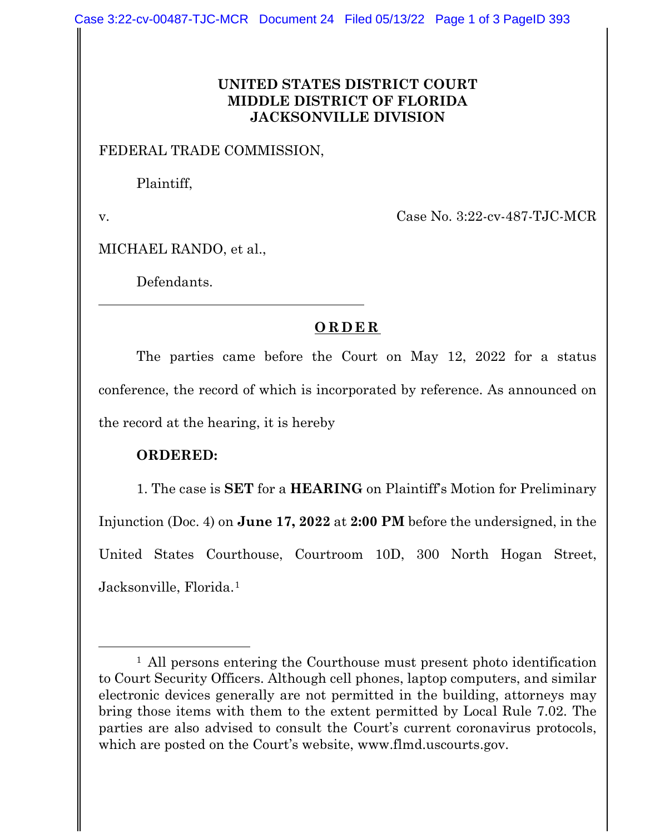## **UNITED STATES DISTRICT COURT MIDDLE DISTRICT OF FLORIDA JACKSONVILLE DIVISION**

## FEDERAL TRADE COMMISSION,

Plaintiff,

v. Case No. 3:22-cv-487-TJC-MCR

MICHAEL RANDO, et al.,

Defendants.

## **ORDER**

The parties came before the Court on May 12, 2022 for a status conference, the record of which is incorporated by reference. As announced on the record at the hearing, it is hereby

## **ORDERED:**

1. The case is **SET** for a **HEARING** on Plaintiff's Motion for Preliminary Injunction (Doc. 4) on **June 17, 2022** at **2:00 PM** before the undersigned, in the United States Courthouse, Courtroom 10D, 300 North Hogan Street, Jacksonville, Florida.1

<sup>&</sup>lt;sup>1</sup> All persons entering the Courthouse must present photo identification to Court Security Officers. Although cell phones, laptop computers, and similar electronic devices generally are not permitted in the building, attorneys may bring those items with them to the extent permitted by Local Rule 7.02. The parties are also advised to consult the Court's current coronavirus protocols, which are posted on the Court's website, www.flmd.uscourts.gov.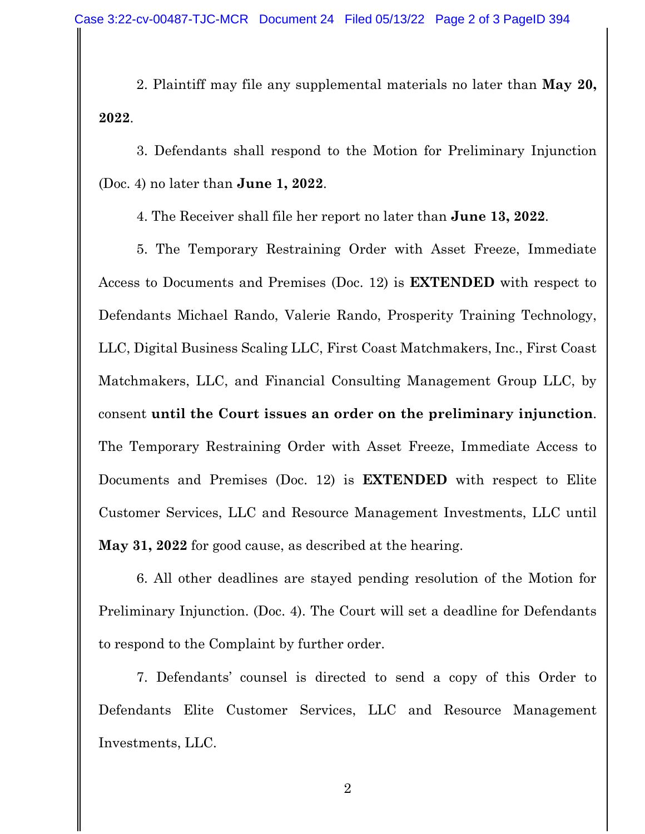2. Plaintiff may file any supplemental materials no later than **May 20, 2022**.

3. Defendants shall respond to the Motion for Preliminary Injunction (Doc. 4) no later than **June 1, 2022**.

4. The Receiver shall file her report no later than **June 13, 2022**.

5. The Temporary Restraining Order with Asset Freeze, Immediate Access to Documents and Premises (Doc. 12) is **EXTENDED** with respect to Defendants Michael Rando, Valerie Rando, Prosperity Training Technology, LLC, Digital Business Scaling LLC, First Coast Matchmakers, Inc., First Coast Matchmakers, LLC, and Financial Consulting Management Group LLC, by consent **until the Court issues an order on the preliminary injunction**. The Temporary Restraining Order with Asset Freeze, Immediate Access to Documents and Premises (Doc. 12) is **EXTENDED** with respect to Elite Customer Services, LLC and Resource Management Investments, LLC until **May 31, 2022** for good cause, as described at the hearing.

6. All other deadlines are stayed pending resolution of the Motion for Preliminary Injunction. (Doc. 4). The Court will set a deadline for Defendants to respond to the Complaint by further order.

7. Defendants' counsel is directed to send a copy of this Order to Defendants Elite Customer Services, LLC and Resource Management Investments, LLC.

2